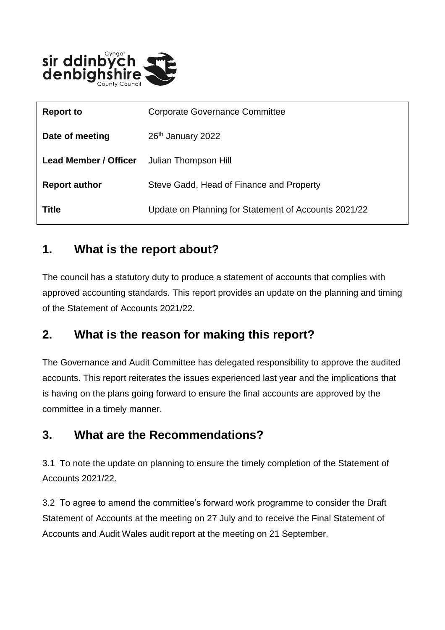

| <b>Report to</b>             | <b>Corporate Governance Committee</b>                |
|------------------------------|------------------------------------------------------|
| Date of meeting              | 26th January 2022                                    |
| <b>Lead Member / Officer</b> | Julian Thompson Hill                                 |
| <b>Report author</b>         | Steve Gadd, Head of Finance and Property             |
| <b>Title</b>                 | Update on Planning for Statement of Accounts 2021/22 |

#### **1. What is the report about?**

The council has a statutory duty to produce a statement of accounts that complies with approved accounting standards. This report provides an update on the planning and timing of the Statement of Accounts 2021/22.

#### **2. What is the reason for making this report?**

The Governance and Audit Committee has delegated responsibility to approve the audited accounts. This report reiterates the issues experienced last year and the implications that is having on the plans going forward to ensure the final accounts are approved by the committee in a timely manner.

#### **3. What are the Recommendations?**

3.1 To note the update on planning to ensure the timely completion of the Statement of Accounts 2021/22.

3.2 To agree to amend the committee's forward work programme to consider the Draft Statement of Accounts at the meeting on 27 July and to receive the Final Statement of Accounts and Audit Wales audit report at the meeting on 21 September.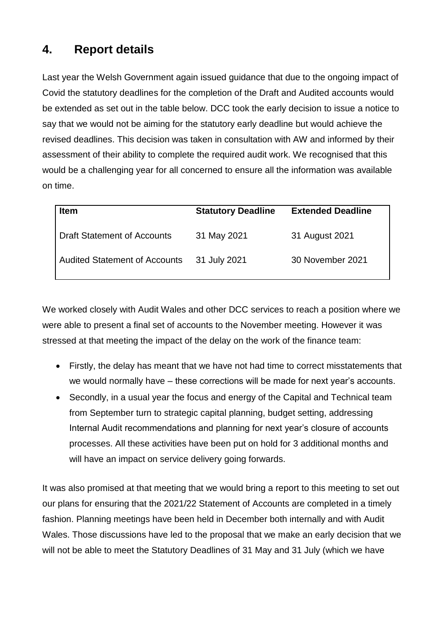### **4. Report details**

Last year the Welsh Government again issued guidance that due to the ongoing impact of Covid the statutory deadlines for the completion of the Draft and Audited accounts would be extended as set out in the table below. DCC took the early decision to issue a notice to say that we would not be aiming for the statutory early deadline but would achieve the revised deadlines. This decision was taken in consultation with AW and informed by their assessment of their ability to complete the required audit work. We recognised that this would be a challenging year for all concerned to ensure all the information was available on time.

| <b>Item</b>                          | <b>Statutory Deadline</b> | <b>Extended Deadline</b> |
|--------------------------------------|---------------------------|--------------------------|
| <b>Draft Statement of Accounts</b>   | 31 May 2021               | 31 August 2021           |
| <b>Audited Statement of Accounts</b> | 31 July 2021              | 30 November 2021         |

We worked closely with Audit Wales and other DCC services to reach a position where we were able to present a final set of accounts to the November meeting. However it was stressed at that meeting the impact of the delay on the work of the finance team:

- Firstly, the delay has meant that we have not had time to correct misstatements that we would normally have – these corrections will be made for next year's accounts.
- Secondly, in a usual year the focus and energy of the Capital and Technical team from September turn to strategic capital planning, budget setting, addressing Internal Audit recommendations and planning for next year's closure of accounts processes. All these activities have been put on hold for 3 additional months and will have an impact on service delivery going forwards.

It was also promised at that meeting that we would bring a report to this meeting to set out our plans for ensuring that the 2021/22 Statement of Accounts are completed in a timely fashion. Planning meetings have been held in December both internally and with Audit Wales. Those discussions have led to the proposal that we make an early decision that we will not be able to meet the Statutory Deadlines of 31 May and 31 July (which we have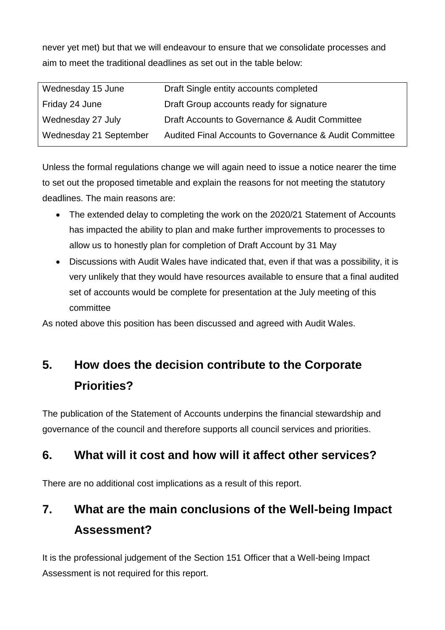never yet met) but that we will endeavour to ensure that we consolidate processes and aim to meet the traditional deadlines as set out in the table below:

| Wednesday 15 June      | Draft Single entity accounts completed                 |
|------------------------|--------------------------------------------------------|
| Friday 24 June         | Draft Group accounts ready for signature               |
| Wednesday 27 July      | Draft Accounts to Governance & Audit Committee         |
| Wednesday 21 September | Audited Final Accounts to Governance & Audit Committee |

Unless the formal regulations change we will again need to issue a notice nearer the time to set out the proposed timetable and explain the reasons for not meeting the statutory deadlines. The main reasons are:

- The extended delay to completing the work on the 2020/21 Statement of Accounts has impacted the ability to plan and make further improvements to processes to allow us to honestly plan for completion of Draft Account by 31 May
- Discussions with Audit Wales have indicated that, even if that was a possibility, it is very unlikely that they would have resources available to ensure that a final audited set of accounts would be complete for presentation at the July meeting of this committee

As noted above this position has been discussed and agreed with Audit Wales.

# **5. How does the decision contribute to the Corporate Priorities?**

The publication of the Statement of Accounts underpins the financial stewardship and governance of the council and therefore supports all council services and priorities.

### **6. What will it cost and how will it affect other services?**

There are no additional cost implications as a result of this report.

# **7. What are the main conclusions of the Well-being Impact Assessment?**

It is the professional judgement of the Section 151 Officer that a Well-being Impact Assessment is not required for this report.